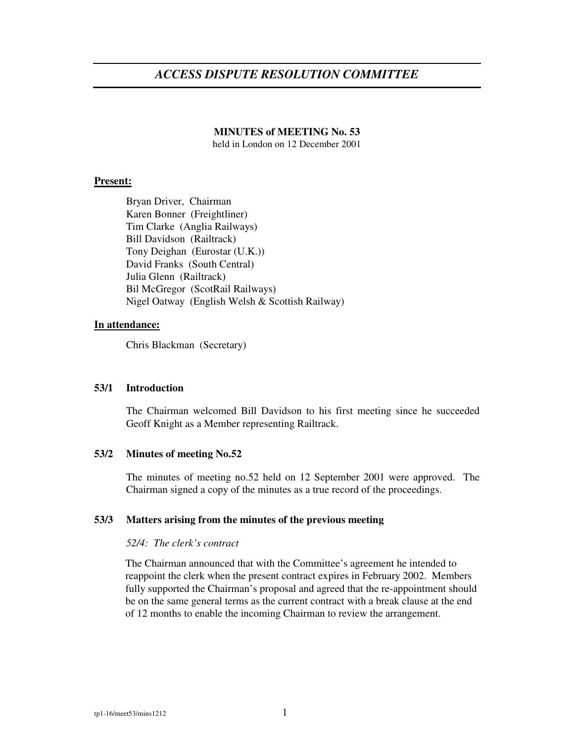# *ACCESS DISPUTE RESOLUTION COMMITTEE*

#### **MINUTES of MEETING No. 53**

held in London on 12 December 2001

# **Present:**

Bryan Driver, Chairman Karen Bonner (Freightliner) Tim Clarke (Anglia Railways) Bill Davidson (Railtrack) Tony Deighan (Eurostar (U.K.)) David Franks (South Central) Julia Glenn (Railtrack) Bil McGregor (ScotRail Railways) Nigel Oatway (English Welsh & Scottish Railway)

# **In attendance:**

Chris Blackman (Secretary)

# **53/1 Introduction**

The Chairman welcomed Bill Davidson to his first meeting since he succeeded Geoff Knight as a Member representing Railtrack.

# **53/2 Minutes of meeting No.52**

The minutes of meeting no.52 held on 12 September 2001 were approved. The Chairman signed a copy of the minutes as a true record of the proceedings.

#### **53/3 Matters arising from the minutes of the previous meeting**

#### *52/4: The clerk's contract*

The Chairman announced that with the Committee's agreement he intended to reappoint the clerk when the present contract expires in February 2002. Members fully supported the Chairman's proposal and agreed that the re-appointment should be on the same general terms as the current contract with a break clause at the end of 12 months to enable the incoming Chairman to review the arrangement.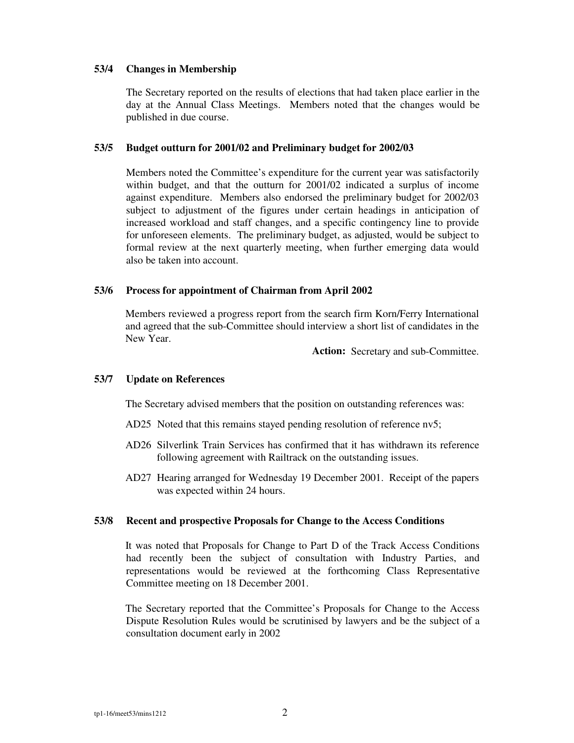# **53/4 Changes in Membership**

The Secretary reported on the results of elections that had taken place earlier in the day at the Annual Class Meetings. Members noted that the changes would be published in due course.

#### **53/5 Budget outturn for 2001/02 and Preliminary budget for 2002/03**

Members noted the Committee's expenditure for the current year was satisfactorily within budget, and that the outturn for 2001/02 indicated a surplus of income against expenditure. Members also endorsed the preliminary budget for 2002/03 subject to adjustment of the figures under certain headings in anticipation of increased workload and staff changes, and a specific contingency line to provide for unforeseen elements. The preliminary budget, as adjusted, would be subject to formal review at the next quarterly meeting, when further emerging data would also be taken into account.

#### **53/6 Process for appointment of Chairman from April 2002**

Members reviewed a progress report from the search firm Korn/Ferry International and agreed that the sub-Committee should interview a short list of candidates in the New Year.

**Action:** Secretary and sub-Committee.

#### **53/7 Update on References**

The Secretary advised members that the position on outstanding references was:

- AD25 Noted that this remains stayed pending resolution of reference nv5;
- AD26 Silverlink Train Services has confirmed that it has withdrawn its reference following agreement with Railtrack on the outstanding issues.
- AD27 Hearing arranged for Wednesday 19 December 2001. Receipt of the papers was expected within 24 hours.

### **53/8 Recent and prospective Proposals for Change to the Access Conditions**

It was noted that Proposals for Change to Part D of the Track Access Conditions had recently been the subject of consultation with Industry Parties, and representations would be reviewed at the forthcoming Class Representative Committee meeting on 18 December 2001.

The Secretary reported that the Committee's Proposals for Change to the Access Dispute Resolution Rules would be scrutinised by lawyers and be the subject of a consultation document early in 2002